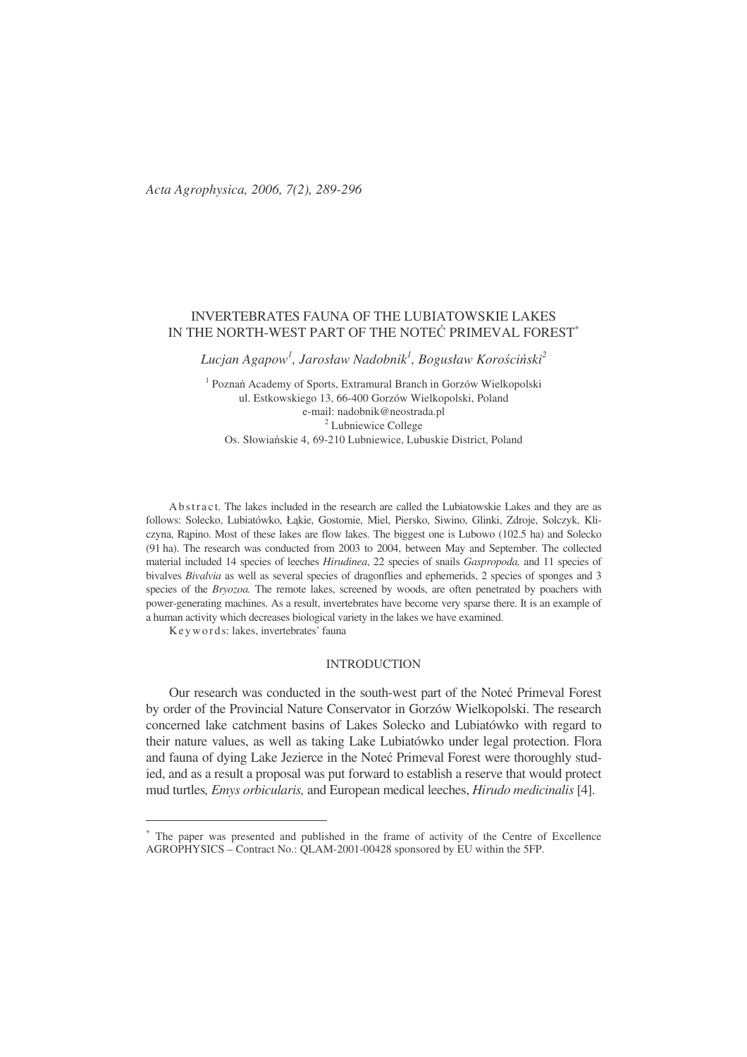# INVERTEBRATES FAUNA OF THE LUBIATOWSKIE LAKES IN THE NORTH-WEST PART OF THE NOTEC PRIMEVAL FOREST $^\ast$

 $L$ ucjan Agapow<sup>1</sup>, Jarosław Nadobnik<sup>1</sup>, Bogusław Korościński $^2$ 

<sup>1</sup> Poznań Academy of Sports, Extramural Branch in Gorzów Wielkopolski ul. Estkowskiego 13, 66-400 Gorzów Wielkopolski, Poland e-mail: nadobnik@neostrada.pl <sup>2</sup> Lubniewice College Os. Słowiańskie 4, 69-210 Lubniewice, Lubuskie District, Poland

Ab stract. The lakes included in the research are called the Lubiatowskie Lakes and they are as follows: Solecko, Lubiatówko, Łąkie, Gostomie, Miel, Piersko, Siwino, Glinki, Zdroje, Solczyk, Kliczyna, Rpino. Most of these lakes are flow lakes. The biggest one is Lubowo (102.5 ha) and Solecko (91 ha). The research was conducted from 2003 to 2004, between May and September. The collected material included 14 species of leeches *Hirudinea*, 22 species of snails *Gaspropoda,* and 11 species of bivalves *Bivalvia* as well as several species of dragonflies and ephemerids, 2 species of sponges and 3 species of the *Bryozoa*. The remote lakes, screened by woods, are often penetrated by poachers with power-generating machines. As a result, invertebrates have become very sparse there. It is an example of a human activity which decreases biological variety in the lakes we have examined.

Ke y wo r d s: lakes, invertebrates' fauna

## INTRODUCTION

Our research was conducted in the south-west part of the Noteć Primeval Forest by order of the Provincial Nature Conservator in Gorzów Wielkopolski. The research concerned lake catchment basins of Lakes Solecko and Lubiatówko with regard to their nature values, as well as taking Lake Lubiatówko under legal protection. Flora and fauna of dying Lake Jezierce in the Noteć Primeval Forest were thoroughly studied, and as a result a proposal was put forward to establish a reserve that would protect mud turtles*, Emys orbicularis,* and European medical leeches, *Hirudo medicinalis* [4].

<sup>∗</sup> The paper was presented and published in the frame of activity of the Centre of Excellence AGROPHYSICS – Contract No.: QLAM-2001-00428 sponsored by EU within the 5FP.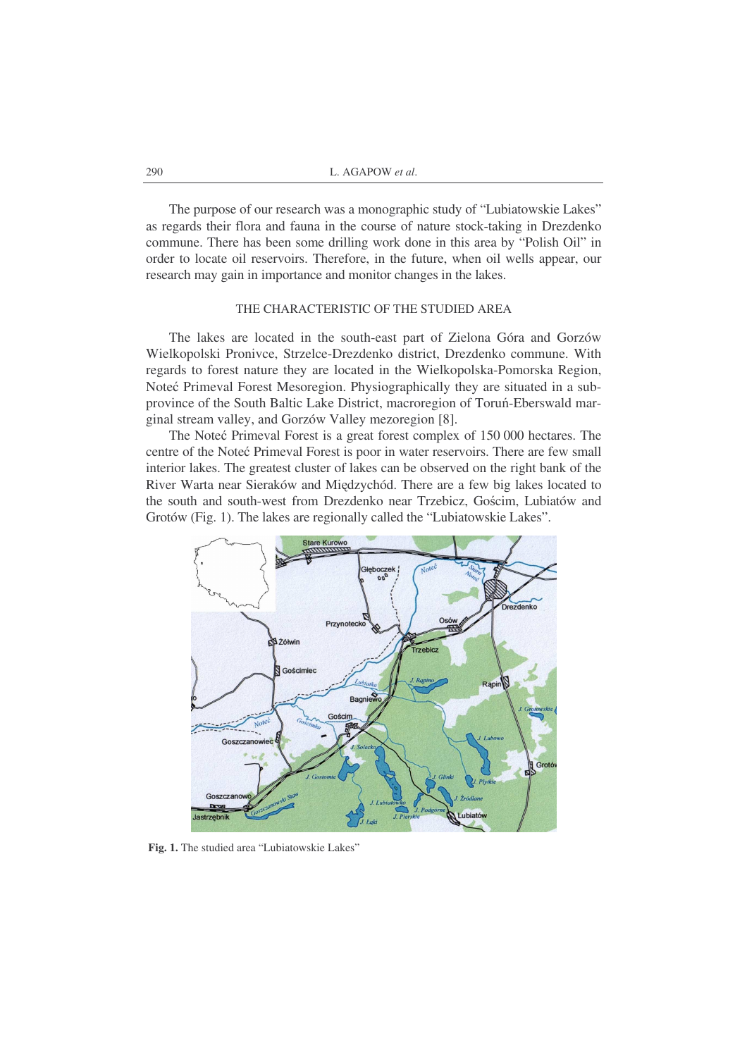The purpose of our research was a monographic study of "Lubiatowskie Lakes" as regards their flora and fauna in the course of nature stock-taking in Drezdenko commune. There has been some drilling work done in this area by "Polish Oil" in order to locate oil reservoirs. Therefore, in the future, when oil wells appear, our research may gain in importance and monitor changes in the lakes.

## THE CHARACTERISTIC OF THE STUDIED AREA

The lakes are located in the south-east part of Zielona Góra and Gorzów Wielkopolski Pronivce, Strzelce-Drezdenko district, Drezdenko commune. With regards to forest nature they are located in the Wielkopolska-Pomorska Region, Noteć Primeval Forest Mesoregion. Physiographically they are situated in a subprovince of the South Baltic Lake District, macroregion of Toruń-Eberswald marginal stream valley, and Gorzów Valley mezoregion [8].

The Noteć Primeval Forest is a great forest complex of 150 000 hectares. The centre of the Noteć Primeval Forest is poor in water reservoirs. There are few small interior lakes. The greatest cluster of lakes can be observed on the right bank of the River Warta near Sieraków and Międzychód. There are a few big lakes located to the south and south-west from Drezdenko near Trzebicz, Gościm, Lubiatów and Grotów (Fig. 1). The lakes are regionally called the "Lubiatowskie Lakes".



**Fig. 1.** The studied area "Lubiatowskie Lakes"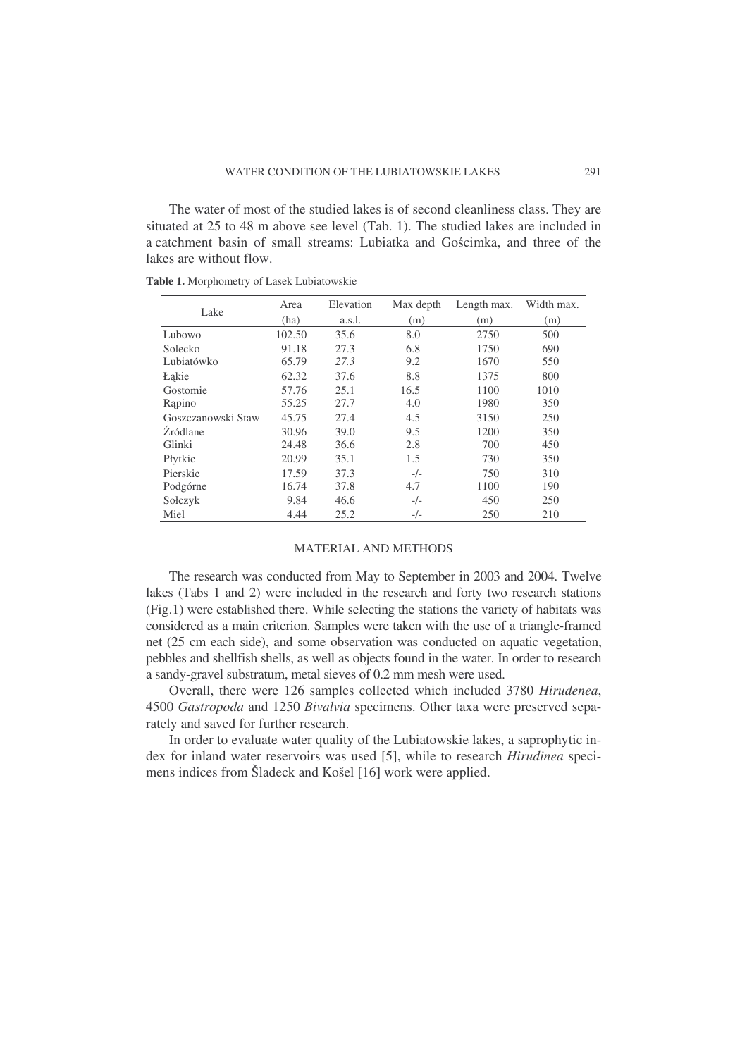The water of most of the studied lakes is of second cleanliness class. They are situated at 25 to 48 m above see level (Tab. 1). The studied lakes are included in a catchment basin of small streams: Lubiatka and Gocimka, and three of the lakes are without flow.

|                    | Area   | Elevation | Max depth | Length max. | Width max. |
|--------------------|--------|-----------|-----------|-------------|------------|
| Lake               | (ha)   | a.s.l.    | (m)       | (m)         | (m)        |
| Lubowo             | 102.50 | 35.6      | 8.0       | 2750        | 500        |
| Solecko            | 91.18  | 27.3      | 6.8       | 1750        | 690        |
| Lubiatówko         | 65.79  | 27.3      | 9.2       | 1670        | 550        |
| <b>Łakie</b>       | 62.32  | 37.6      | 8.8       | 1375        | 800        |
| Gostomie           | 57.76  | 25.1      | 16.5      | 1100        | 1010       |
| Rapino             | 55.25  | 27.7      | 4.0       | 1980        | 350        |
| Goszczanowski Staw | 45.75  | 27.4      | 4.5       | 3150        | 250        |
| Zródlane           | 30.96  | 39.0      | 9.5       | 1200        | 350        |
| Glinki             | 24.48  | 36.6      | 2.8       | 700         | 450        |
| Płytkie            | 20.99  | 35.1      | 1.5       | 730         | 350        |
| Pierskie           | 17.59  | 37.3      | $-/-$     | 750         | 310        |
| Podgórne           | 16.74  | 37.8      | 4.7       | 1100        | 190        |
| Sołczyk            | 9.84   | 46.6      | $-/-$     | 450         | 250        |
| Miel               | 4.44   | 25.2      | $-/-$     | 250         | 210        |

**Table 1.** Morphometry of Lasek Lubiatowskie

### MATERIAL AND METHODS

The research was conducted from May to September in 2003 and 2004. Twelve lakes (Tabs 1 and 2) were included in the research and forty two research stations (Fig.1) were established there. While selecting the stations the variety of habitats was considered as a main criterion. Samples were taken with the use of a triangle-framed net (25 cm each side), and some observation was conducted on aquatic vegetation, pebbles and shellfish shells, as well as objects found in the water. In order to research a sandy-gravel substratum, metal sieves of 0.2 mm mesh were used.

Overall, there were 126 samples collected which included 3780 *Hirudenea*, 4500 *Gastropoda* and 1250 *Bivalvia* specimens. Other taxa were preserved separately and saved for further research.

In order to evaluate water quality of the Lubiatowskie lakes, a saprophytic index for inland water reservoirs was used [5], while to research *Hirudinea* specimens indices from Šladeck and Košel [16] work were applied.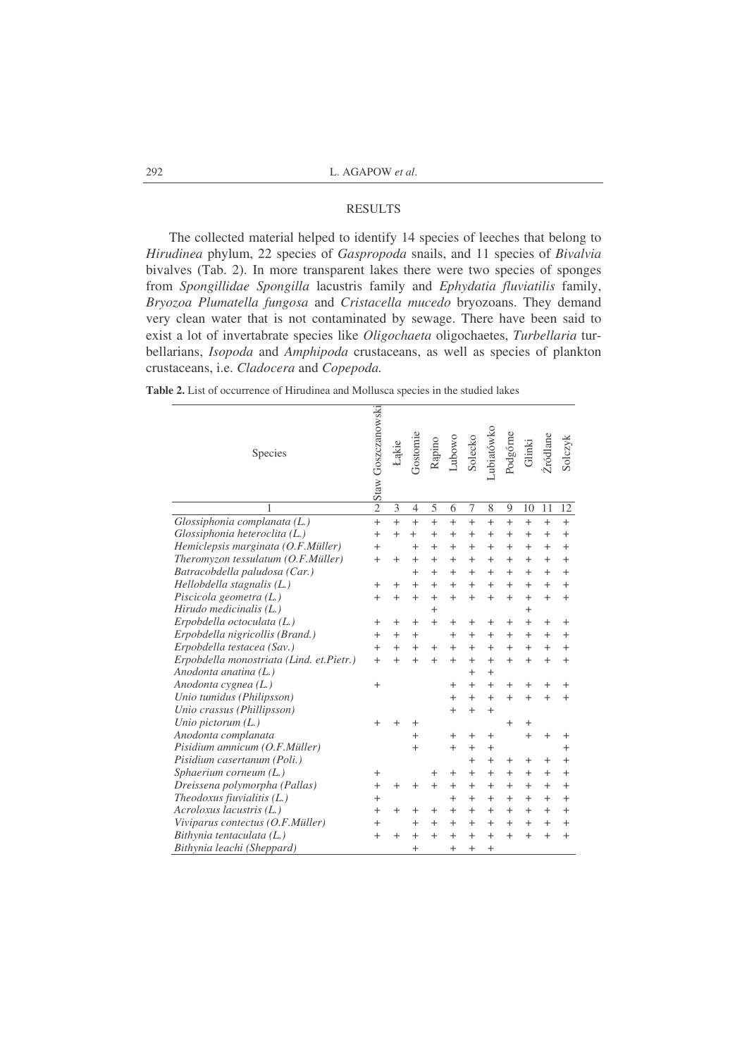## RESULTS

The collected material helped to identify 14 species of leeches that belong to *Hirudinea* phylum, 22 species of *Gaspropoda* snails, and 11 species of *Bivalvia* bivalves (Tab. 2). In more transparent lakes there were two species of sponges from *Spongillidae Spongilla* lacustris family and *Ephydatia fluviatilis* family, *Bryozoa Plumatella fungosa* and *Cristacella mucedo* bryozoans. They demand very clean water that is not contaminated by sewage. There have been said to exist a lot of invertabrate species like *Oligochaeta* oligochaetes, *Turbellaria* turbellarians, *Isopoda* and *Amphipoda* crustaceans, as well as species of plankton crustaceans, i.e. *Cladocera* and *Copepoda.*

| <b>Table 2.</b> List of occurrence of Hirudinea and Mollusca species in the studied lakes |  |  |
|-------------------------------------------------------------------------------------------|--|--|
|-------------------------------------------------------------------------------------------|--|--|

| Species                                   | Staw Goszczanowski | Lakie        | Fostomie       | Rapino | Lubowo       | Solecko | abiatówko | Podgórne | Glinki   | ródlane      | Solczyk |
|-------------------------------------------|--------------------|--------------|----------------|--------|--------------|---------|-----------|----------|----------|--------------|---------|
| 1                                         | $\overline{2}$     | 3            | $\overline{4}$ | 5      | 6            | 7       | 8         | 9        | 10       | 11           | 12      |
| Glossiphonia complanata (L.)              | $\ddot{}$          | $^{+}$       | $^{+}$         | $^{+}$ | $^{+}$       | $^{+}$  | $^{+}$    | $^{+}$   | $^{+}$   | $\ddot{}$    | $^{+}$  |
| Glossiphonia heteroclita (L.)             | $\ddot{}$          | $^{+}$       |                | $^+$   | $^{+}$       | $^{+}$  | $^+$      | $^+$     | $^{+}$   | $^+$         | $^{+}$  |
| Hemiclepsis marginata (O.F.Müller)        | $^{+}$             |              | $^+$           | $^+$   | $^{+}$       | $^{+}$  | $\,+\,$   | $\,+\,$  | $^{+}$   | $^{+}$       | $^{+}$  |
| Theromyzon tessulatum (O.F.Müller)        | $^{+}$             | $^{+}$       | $^+$           | $^+$   | $^{+}$       | $^{+}$  | $^+$      | $^+$     | $^{+}$   | $^{+}$       | $^{+}$  |
| Batracobdella paludosa (Car.)             |                    |              | $^+$           | $^+$   | $^{+}$       | $^{+}$  | $^+$      | $^+$     | $^{+}$   | $^{+}$       | $^{+}$  |
| Hellobdella stagnalis (L.)                | $^{+}$             | $^+$         | $^{+}$         | $^{+}$ | $+$          | $+$     | $^{+}$    | $^{+}$   | $^{+}$   | $^{+}$       | $^{+}$  |
| Piscicola geometra (L.)                   | $^{+}$             | $^{+}$       | $^{+}$         | $^{+}$ | $^{+}$       | $^{+}$  | $^{+}$    | $^{+}$   | $^{+}$   | $^{+}$       | $^{+}$  |
| Hirudo medicinalis $(L)$                  |                    |              |                | $^{+}$ |              |         |           |          | $^{+}$   |              |         |
| Erpobdella octoculata (L.)                | $^+$               | $\,{}^{+}\,$ | $^+$           | $^{+}$ | $^{+}$       | $^+$    | $^+$      | $^+$     | $^{+}$   | $^{+}$       | $^+$    |
| Erpobdella nigricollis (Brand.)           | $^{+}$             | $^{+}$       | $^{+}$         |        | $^{+}$       | $^{+}$  | $^{+}$    | $^{+}$   | $^{+}$   | $^{+}$       | $^{+}$  |
| Erpobdella testacea (Sav.)                | $^{+}$             | $\,{}^{+}\,$ |                | $^{+}$ | $^{+}$       | $^{+}$  | $^{+}$    | $^{+}$   | $^{+}$   | $^{+}$       | $^{+}$  |
| Erpobdella monostriata (Lind. et. Pietr.) | $^{+}$             | $^{+}$       | $^{+}$         | $^{+}$ | $^{+}$       | $^{+}$  | $^{+}$    | $^{+}$   | $^{+}$   | $^{+}$       | $^{+}$  |
| Anodonta anatina (L.)                     |                    |              |                |        |              | $^{+}$  | $^{+}$    |          |          |              |         |
| Anodonta cygnea (L.)                      | $^{+}$             |              |                |        | $^+$         | $^{+}$  | $^{+}$    | $^+$     | $^+$     | $^+$         | $^+$    |
| Unio tumidus (Philipsson)                 |                    |              |                |        | $\ddot{}$    | $^{+}$  | $^{+}$    | $^{+}$   | $^{+}$   | $\,{}^{+}\,$ | $^{+}$  |
| Unio crassus (Phillipsson)                |                    |              |                |        | $^{+}$       | $^{+}$  | $^{+}$    |          |          |              |         |
| Unio pictorum $(L)$                       | $^+$               |              | ٠              |        |              |         |           | $^+$     | $\,{}^+$ |              |         |
| Anodonta complanata                       |                    |              | $^{+}$         |        | $^{+}$       | $^{+}$  | $^{+}$    |          | $^{+}$   | $^{+}$       | $^+$    |
| Pisidium amnicum (O.F.Müller)             |                    |              | $^{+}$         |        | $^{+}$       | $^{+}$  | $^{+}$    |          |          |              | $^{+}$  |
| Pisidium casertanum (Poli.)               |                    |              |                |        |              | $^{+}$  | $^{+}$    | $^+$     | $^{+}$   | $^{+}$       | $^{+}$  |
| Sphaerium corneum $(L)$                   | $^+$               |              |                | $^+$   | $^{+}$       | $^{+}$  | $^{+}$    | $^+$     | $^{+}$   | $^{+}$       | $^{+}$  |
| Dreissena polymorpha (Pallas)             | $\overline{ }$     | $^{+}$       | $^{+}$         | $^{+}$ | $^{+}$       | $^{+}$  | $+$       | $^{+}$   | $+$      | $^{+}$       | $^{+}$  |
| Theodoxus fiuvialitis $(L)$               | $\overline{ }$     |              |                |        | $\,{}^{+}\,$ | $^{+}$  | $^{+}$    | $^{+}$   | $^{+}$   | $^{+}$       | $^{+}$  |
| $Acroloxus$ lacustris $(L.)$              | $^{+}$             | $^{+}$       | $^+$           | $^+$   | $^{+}$       | $^{+}$  | $^{+}$    | $^{+}$   | $+$      | $^{+}$       | $^{+}$  |
| Viviparus contectus (O.F.Müller)          | $^{+}$             |              | $^{+}$         | $^{+}$ | $^{+}$       | $^{+}$  | $^{+}$    | $^{+}$   | $^{+}$   | $^{+}$       | $^{+}$  |
| Bithynia tentaculata (L.)                 | $^{+}$             | $^{+}$       | $^{+}$         | $^{+}$ | $\ddot{}$    | $^{+}$  | $^{+}$    | $^{+}$   | $^{+}$   | $^{+}$       | $+$     |
| Bithynia leachi (Sheppard)                |                    |              | $^{+}$         |        | $^{+}$       | $^{+}$  | $^{+}$    |          |          |              |         |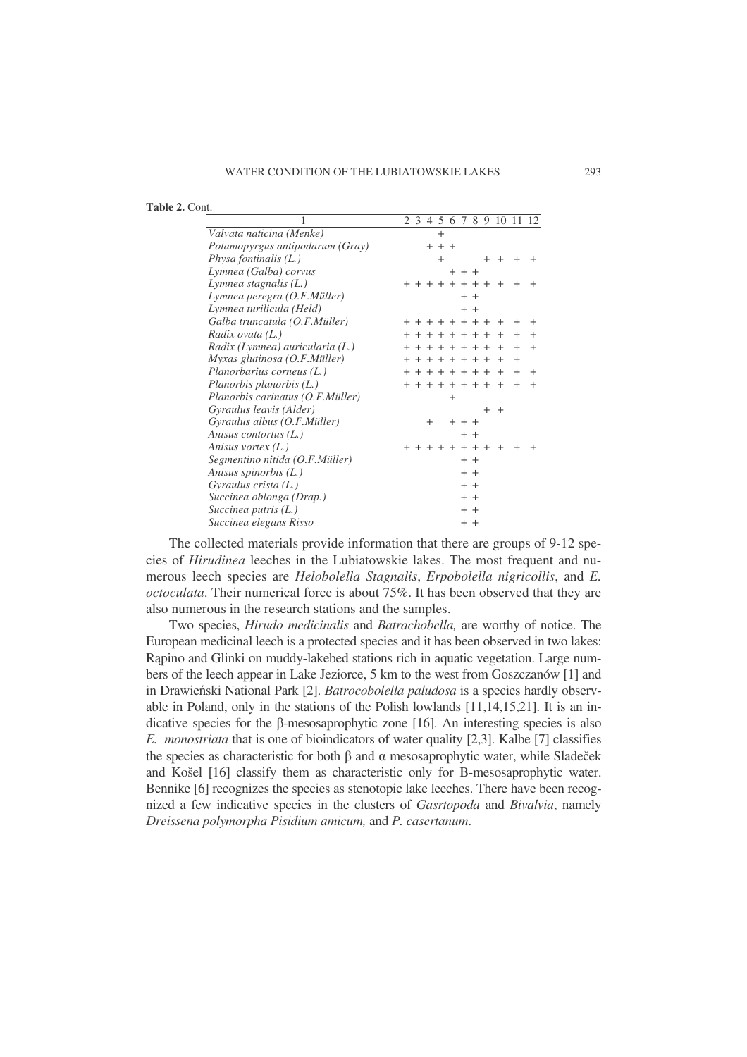|  | <b>Table 2. Cont.</b> |  |  |  |
|--|-----------------------|--|--|--|
|--|-----------------------|--|--|--|

|                                  | 2 3 4 5 6 7 8 9 10 11<br>12             |
|----------------------------------|-----------------------------------------|
| Valvata naticina (Menke)         | $\overline{+}$                          |
| Potamopyrgus antipodarum (Gray)  | $+ + +$                                 |
| Physa fontinalis $(L)$           | $\ddot{}$<br>$^{+}$<br>$+$<br>$^+$<br>+ |
| Lymnea (Galba) corvus            | $+ + +$                                 |
| Lymnea stagnalis $(L)$           | $+ + + +$<br>$+$<br>$\div$              |
| Lymnea peregra (O.F.Müller)      | $^{+}$<br>$^{+}$                        |
| Lymnea turilicula (Held)         | $+$ $+$                                 |
| Galba truncatula (O.F.Müller)    | + + + + + + + + +                       |
| Radix ovata (L.)                 | + + + + + + + +                         |
| Radix (Lymnea) auricularia (L.)  | + + + + + + + +                         |
| Myxas glutinosa (O.F.Müller)     | + + + + + + + +                         |
| Planorbarius corneus (L.)        | + + + + + + + +                         |
| Planorbis planorbis (L.)         | + + + + + + + +                         |
| Planorbis carinatus (O.F.Müller) | $^{+}$                                  |
| Gyraulus leavis (Alder)          | $^{+}$<br>$+$                           |
| Gyraulus albus (O.F.Müller)      | $\ddot{}$<br>$++$ $+$ $+$               |
| Anisus contortus (L.)            | $+$ $+$                                 |
| Anisus vortex (L.)               | $+ + + + +$                             |
| Segmentino nitida (O.F.Müller)   | $+$ $+$                                 |
| Anisus spinorbis (L.)            | $+$ $+$                                 |
| Gyraulus crista $(L)$            | $+$ $+$                                 |
| Succinea oblonga (Drap.)         | $+$ $+$                                 |
| Succinea putris $(L)$            | $+$ $+$                                 |
| Succinea elegans Risso           | $+ +$                                   |

The collected materials provide information that there are groups of 9-12 species of *Hirudinea* leeches in the Lubiatowskie lakes. The most frequent and numerous leech species are *Helobolella Stagnalis*, *Erpobolella nigricollis*, and *E. octoculata*. Their numerical force is about 75%. It has been observed that they are also numerous in the research stations and the samples.

Two species, *Hirudo medicinalis* and *Batrachobella,* are worthy of notice. The European medicinal leech is a protected species and it has been observed in two lakes: Rpino and Glinki on muddy-lakebed stations rich in aquatic vegetation. Large numbers of the leech appear in Lake Jeziorce, 5 km to the west from Goszczanów [1] and in Drawieński National Park [2]. *Batrocobolella paludosa* is a species hardly observable in Poland, only in the stations of the Polish lowlands [11,14,15,21]. It is an indicative species for the  $\beta$ -mesosaprophytic zone [16]. An interesting species is also *E. monostriata* that is one of bioindicators of water quality [2,3]. Kalbe [7] classifies the species as characteristic for both  $\beta$  and  $\alpha$  mesosaprophytic water, while Sladeček and Košel [16] classify them as characteristic only for B-mesosaprophytic water. Bennike [6] recognizes the species as stenotopic lake leeches. There have been recognized a few indicative species in the clusters of *Gasrtopoda* and *Bivalvia*, namely *Dreissena polymorpha Pisidium amicum,* and *P. casertanum*.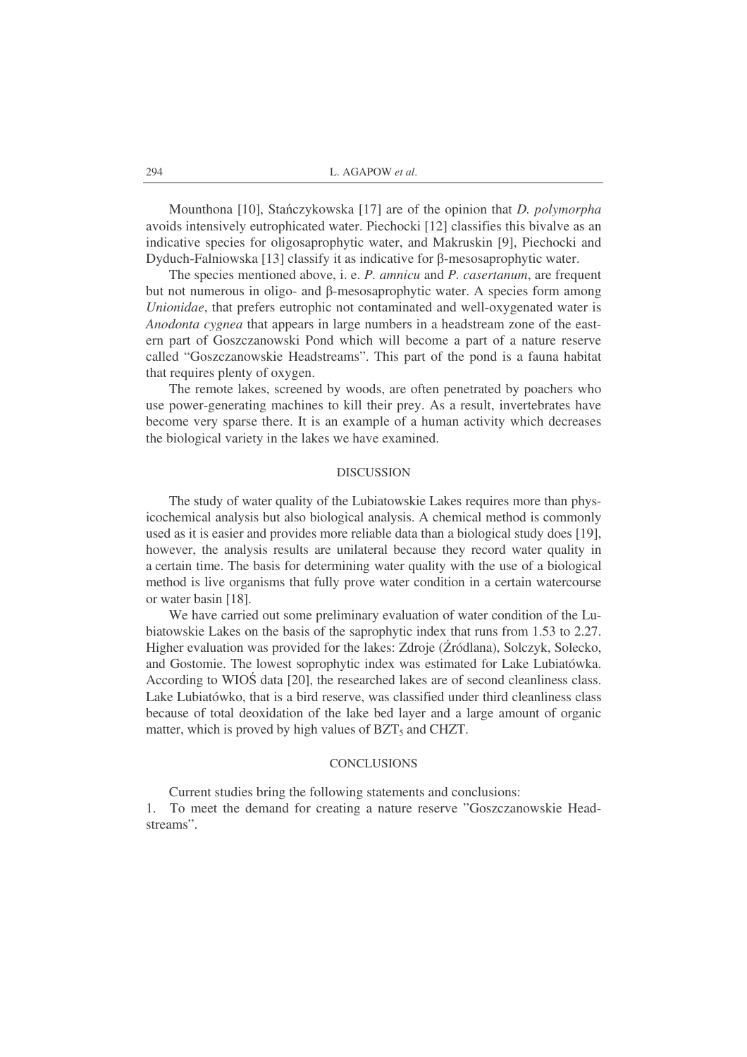Mounthona [10], Stańczykowska [17] are of the opinion that *D. polymorpha* avoids intensively eutrophicated water. Piechocki [12] classifies this bivalve as an indicative species for oligosaprophytic water, and Makruskin [9], Piechocki and Dyduch-Falniowska [13] classify it as indicative for  $\beta$ -mesosaprophytic water.

The species mentioned above, i. e. *P. amnicu* and *P. casertanum*, are frequent but not numerous in oligo- and  $\beta$ -mesosaprophytic water. A species form among *Unionidae*, that prefers eutrophic not contaminated and well-oxygenated water is *Anodonta cygnea* that appears in large numbers in a headstream zone of the eastern part of Goszczanowski Pond which will become a part of a nature reserve called "Goszczanowskie Headstreams". This part of the pond is a fauna habitat that requires plenty of oxygen.

The remote lakes, screened by woods, are often penetrated by poachers who use power-generating machines to kill their prey. As a result, invertebrates have become very sparse there. It is an example of a human activity which decreases the biological variety in the lakes we have examined.

## DISCUSSION

The study of water quality of the Lubiatowskie Lakes requires more than physicochemical analysis but also biological analysis. A chemical method is commonly used as it is easier and provides more reliable data than a biological study does [19], however, the analysis results are unilateral because they record water quality in a certain time. The basis for determining water quality with the use of a biological method is live organisms that fully prove water condition in a certain watercourse or water basin [18].

We have carried out some preliminary evaluation of water condition of the Lubiatowskie Lakes on the basis of the saprophytic index that runs from 1.53 to 2.27. Higher evaluation was provided for the lakes: Zdroje (Žródlana), Solczyk, Solecko, and Gostomie. The lowest soprophytic index was estimated for Lake Lubiatówka. According to WIOS data [20], the researched lakes are of second cleanliness class. Lake Lubiatówko, that is a bird reserve, was classified under third cleanliness class because of total deoxidation of the lake bed layer and a large amount of organic matter, which is proved by high values of  $BZT<sub>5</sub>$  and CHZT.

#### CONCLUSIONS

Current studies bring the following statements and conclusions:

1. To meet the demand for creating a nature reserve "Goszczanowskie Headstreams".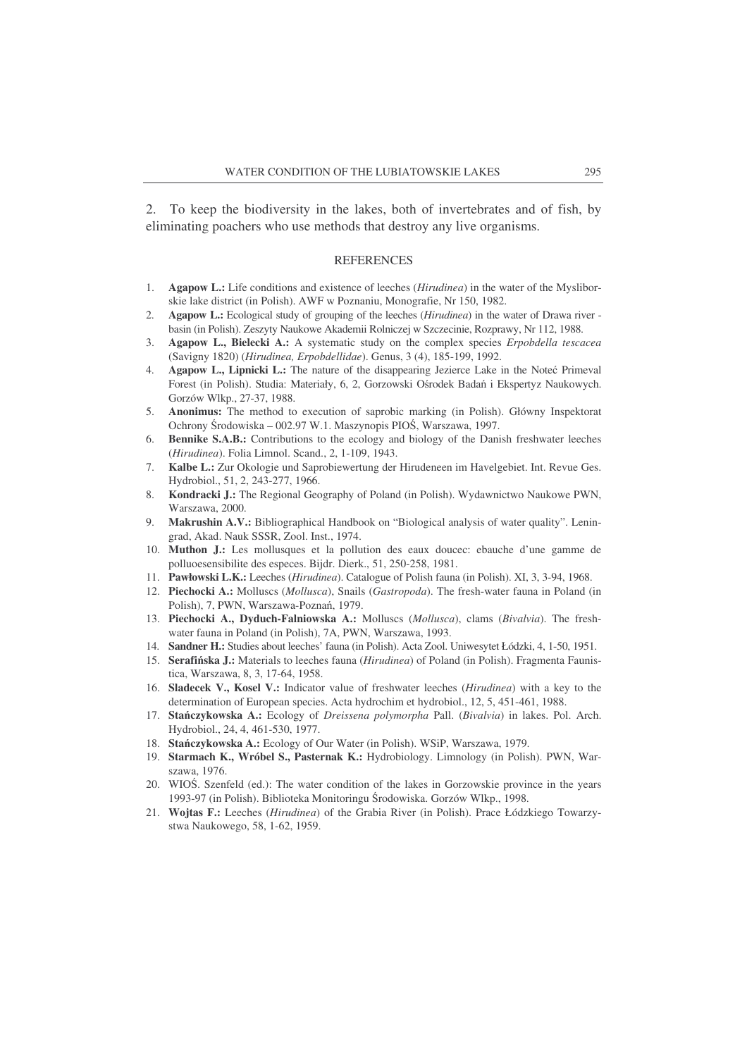2. To keep the biodiversity in the lakes, both of invertebrates and of fish, by eliminating poachers who use methods that destroy any live organisms.

#### **REFERENCES**

- 1. **Agapow L.:** Life conditions and existence of leeches (*Hirudinea*) in the water of the Mysliborskie lake district (in Polish). AWF w Poznaniu, Monografie, Nr 150, 1982.
- 2. **Agapow L.:** Ecological study of grouping of the leeches (*Hirudinea*) in the water of Drawa river basin (in Polish). Zeszyty Naukowe Akademii Rolniczej w Szczecinie, Rozprawy, Nr 112, 1988.
- 3. **Agapow L., Bielecki A.:** A systematic study on the complex species *Erpobdella tescacea* (Savigny 1820) (*Hirudinea, Erpobdellidae*). Genus, 3 (4), 185-199, 1992.
- 4. **Agapow L., Lipnicki L.:** The nature of the disappearing Jezierce Lake in the Noteć Primeval Forest (in Polish). Studia: Materiały, 6, 2, Gorzowski Ośrodek Badań i Ekspertyz Naukowych. Gorzów Wlkp., 27-37, 1988.
- 5. **Anonimus:** The method to execution of saprobic marking (in Polish). Główny Inspektorat Ochrony Środowiska – 002.97 W.1. Maszynopis PIOŚ, Warszawa, 1997.
- 6. **Bennike S.A.B.:** Contributions to the ecology and biology of the Danish freshwater leeches (*Hirudinea*). Folia Limnol. Scand., 2, 1-109, 1943.
- 7. **Kalbe L.:** Zur Okologie und Saprobiewertung der Hirudeneen im Havelgebiet. Int. Revue Ges. Hydrobiol., 51, 2, 243-277, 1966.
- 8. **Kondracki J.:** The Regional Geography of Poland (in Polish). Wydawnictwo Naukowe PWN, Warszawa, 2000.
- 9. **Makrushin A.V.:** Bibliographical Handbook on "Biological analysis of water quality". Leningrad, Akad. Nauk SSSR, Zool. Inst., 1974.
- 10. **Muthon J.:** Les mollusques et la pollution des eaux doucec: ebauche d'une gamme de polluoesensibilite des especes. Bijdr. Dierk., 51, 250-258, 1981.
- 11. **Pawłowski L.K.:** Leeches (*Hirudinea*). Catalogue of Polish fauna (in Polish). XI, 3, 3-94, 1968.
- 12. **Piechocki A.:** Molluscs (*Mollusca*), Snails (*Gastropoda*). The fresh-water fauna in Poland (in Polish), 7, PWN, Warszawa-Poznań, 1979.
- 13. **Piechocki A., Dyduch-Falniowska A.:** Molluscs (*Mollusca*), clams (*Bivalvia*). The freshwater fauna in Poland (in Polish), 7A, PWN, Warszawa, 1993.
- 14. **Sandner H.:** Studies about leeches' fauna (in Polish). Acta Zool. Uniwesytet Łódzki, 4, 1-50, 1951.
- 15. **Serafiska J.:** Materials to leeches fauna (*Hirudinea*) of Poland (in Polish). Fragmenta Faunistica, Warszawa, 8, 3, 17-64, 1958.
- 16. **Sladecek V., Kosel V.:** Indicator value of freshwater leeches (*Hirudinea*) with a key to the determination of European species. Acta hydrochim et hydrobiol., 12, 5, 451-461, 1988.
- 17. **Staczykowska A.:** Ecology of *Dreissena polymorpha* Pall. (*Bivalvia*) in lakes. Pol. Arch. Hydrobiol., 24, 4, 461-530, 1977.
- 18. **Staczykowska A.:** Ecology of Our Water (in Polish). WSiP, Warszawa, 1979.
- 19. **Starmach K., Wróbel S., Pasternak K.:** Hydrobiology. Limnology (in Polish). PWN, Warszawa, 1976.
- 20. WIOS. Szenfeld (ed.): The water condition of the lakes in Gorzowskie province in the years 1993-97 (in Polish). Biblioteka Monitoringu Środowiska. Gorzów Wlkp., 1998.
- 21. **Wojtas F.:** Leeches (*Hirudinea*) of the Grabia River (in Polish). Prace Łódzkiego Towarzystwa Naukowego, 58, 1-62, 1959.